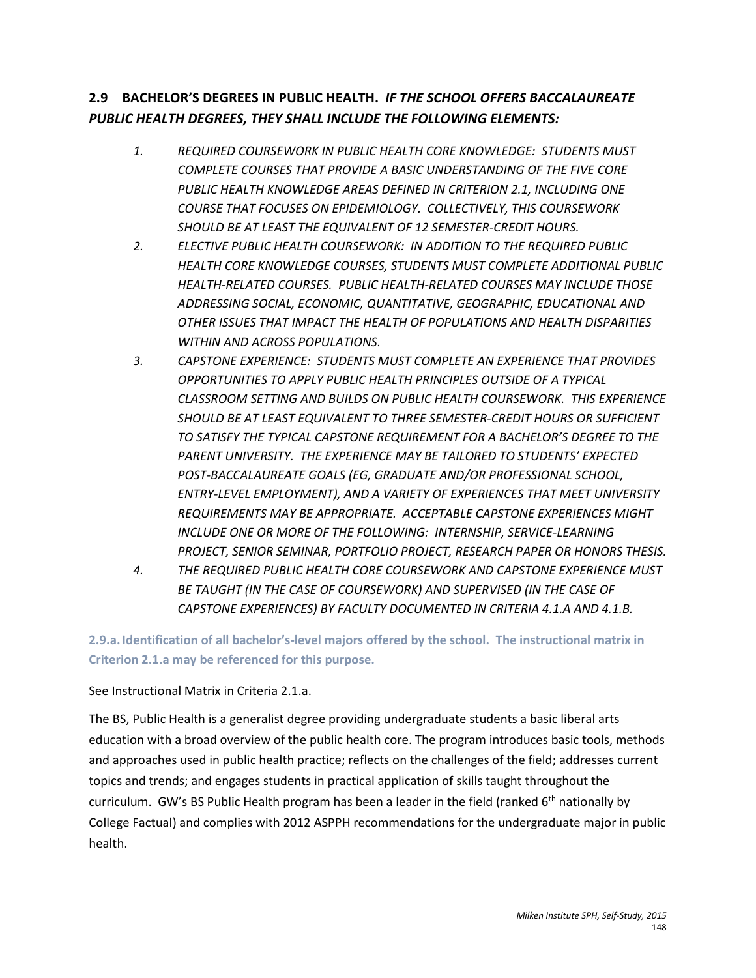# **2.9 BACHELOR'S DEGREES IN PUBLIC HEALTH.** *IF THE SCHOOL OFFERS BACCALAUREATE PUBLIC HEALTH DEGREES, THEY SHALL INCLUDE THE FOLLOWING ELEMENTS:*

- *1. REQUIRED COURSEWORK IN PUBLIC HEALTH CORE KNOWLEDGE: STUDENTS MUST COMPLETE COURSES THAT PROVIDE A BASIC UNDERSTANDING OF THE FIVE CORE PUBLIC HEALTH KNOWLEDGE AREAS DEFINED IN CRITERION 2.1, INCLUDING ONE COURSE THAT FOCUSES ON EPIDEMIOLOGY. COLLECTIVELY, THIS COURSEWORK SHOULD BE AT LEAST THE EQUIVALENT OF 12 SEMESTER-CREDIT HOURS.*
- *2. ELECTIVE PUBLIC HEALTH COURSEWORK: IN ADDITION TO THE REQUIRED PUBLIC HEALTH CORE KNOWLEDGE COURSES, STUDENTS MUST COMPLETE ADDITIONAL PUBLIC HEALTH-RELATED COURSES. PUBLIC HEALTH-RELATED COURSES MAY INCLUDE THOSE ADDRESSING SOCIAL, ECONOMIC, QUANTITATIVE, GEOGRAPHIC, EDUCATIONAL AND OTHER ISSUES THAT IMPACT THE HEALTH OF POPULATIONS AND HEALTH DISPARITIES WITHIN AND ACROSS POPULATIONS.*
- *3. CAPSTONE EXPERIENCE: STUDENTS MUST COMPLETE AN EXPERIENCE THAT PROVIDES OPPORTUNITIES TO APPLY PUBLIC HEALTH PRINCIPLES OUTSIDE OF A TYPICAL CLASSROOM SETTING AND BUILDS ON PUBLIC HEALTH COURSEWORK. THIS EXPERIENCE SHOULD BE AT LEAST EQUIVALENT TO THREE SEMESTER-CREDIT HOURS OR SUFFICIENT TO SATISFY THE TYPICAL CAPSTONE REQUIREMENT FOR A BACHELOR'S DEGREE TO THE PARENT UNIVERSITY. THE EXPERIENCE MAY BE TAILORED TO STUDENTS' EXPECTED POST-BACCALAUREATE GOALS (EG, GRADUATE AND/OR PROFESSIONAL SCHOOL, ENTRY-LEVEL EMPLOYMENT), AND A VARIETY OF EXPERIENCES THAT MEET UNIVERSITY REQUIREMENTS MAY BE APPROPRIATE. ACCEPTABLE CAPSTONE EXPERIENCES MIGHT INCLUDE ONE OR MORE OF THE FOLLOWING: INTERNSHIP, SERVICE-LEARNING PROJECT, SENIOR SEMINAR, PORTFOLIO PROJECT, RESEARCH PAPER OR HONORS THESIS.*
- *4. THE REQUIRED PUBLIC HEALTH CORE COURSEWORK AND CAPSTONE EXPERIENCE MUST BE TAUGHT (IN THE CASE OF COURSEWORK) AND SUPERVISED (IN THE CASE OF CAPSTONE EXPERIENCES) BY FACULTY DOCUMENTED IN CRITERIA 4.1.A AND 4.1.B.*

**2.9.a. Identification of all bachelor's-level majors offered by the school. The instructional matrix in Criterion 2.1.a may be referenced for this purpose.** 

### See Instructional Matrix in Criteria 2.1.a.

The BS, Public Health is a generalist degree providing undergraduate students a basic liberal arts education with a broad overview of the public health core. The program introduces basic tools, methods and approaches used in public health practice; reflects on the challenges of the field; addresses current topics and trends; and engages students in practical application of skills taught throughout the curriculum. GW's BS Public Health program has been a leader in the field (ranked  $6<sup>th</sup>$  nationally by College Factual) and complies with 2012 ASPPH recommendations for the undergraduate major in public health.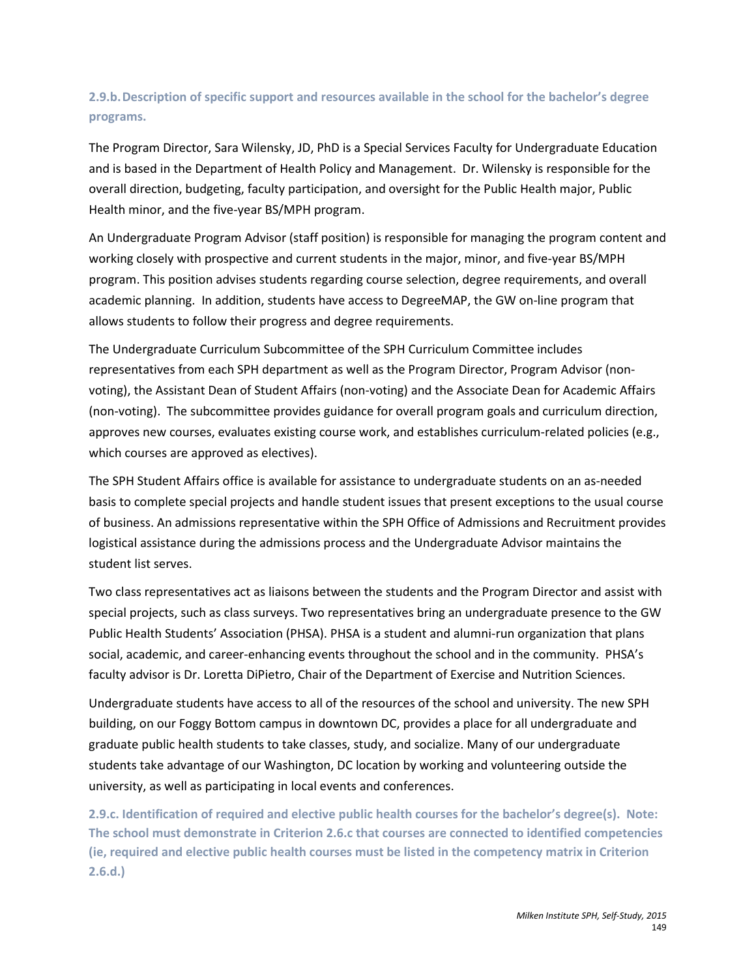## **2.9.b.Description of specific support and resources available in the school for the bachelor's degree programs.**

The Program Director, Sara Wilensky, JD, PhD is a Special Services Faculty for Undergraduate Education and is based in the Department of Health Policy and Management. Dr. Wilensky is responsible for the overall direction, budgeting, faculty participation, and oversight for the Public Health major, Public Health minor, and the five-year BS/MPH program.

An Undergraduate Program Advisor (staff position) is responsible for managing the program content and working closely with prospective and current students in the major, minor, and five-year BS/MPH program. This position advises students regarding course selection, degree requirements, and overall academic planning. In addition, students have access to DegreeMAP, the GW on-line program that allows students to follow their progress and degree requirements.

The Undergraduate Curriculum Subcommittee of the SPH Curriculum Committee includes representatives from each SPH department as well as the Program Director, Program Advisor (nonvoting), the Assistant Dean of Student Affairs (non-voting) and the Associate Dean for Academic Affairs (non-voting). The subcommittee provides guidance for overall program goals and curriculum direction, approves new courses, evaluates existing course work, and establishes curriculum-related policies (e.g., which courses are approved as electives).

The SPH Student Affairs office is available for assistance to undergraduate students on an as-needed basis to complete special projects and handle student issues that present exceptions to the usual course of business. An admissions representative within the SPH Office of Admissions and Recruitment provides logistical assistance during the admissions process and the Undergraduate Advisor maintains the student list serves.

Two class representatives act as liaisons between the students and the Program Director and assist with special projects, such as class surveys. Two representatives bring an undergraduate presence to the GW Public Health Students' Association (PHSA). PHSA is a student and alumni-run organization that plans social, academic, and career-enhancing events throughout the school and in the community. PHSA's faculty advisor is Dr. Loretta DiPietro, Chair of the Department of Exercise and Nutrition Sciences.

Undergraduate students have access to all of the resources of the school and university. The new SPH building, on our Foggy Bottom campus in downtown DC, provides a place for all undergraduate and graduate public health students to take classes, study, and socialize. Many of our undergraduate students take advantage of our Washington, DC location by working and volunteering outside the university, as well as participating in local events and conferences.

**2.9.c. Identification of required and elective public health courses for the bachelor's degree(s). Note: The school must demonstrate in Criterion 2.6.c that courses are connected to identified competencies (ie, required and elective public health courses must be listed in the competency matrix in Criterion 2.6.d.)**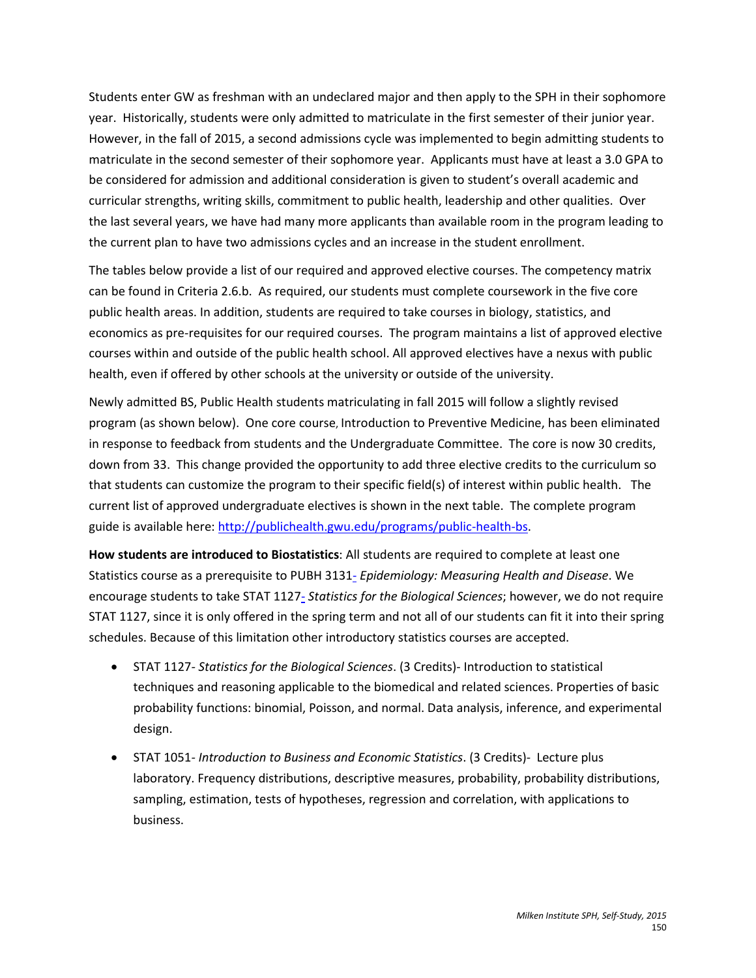Students enter GW as freshman with an undeclared major and then apply to the SPH in their sophomore year. Historically, students were only admitted to matriculate in the first semester of their junior year. However, in the fall of 2015, a second admissions cycle was implemented to begin admitting students to matriculate in the second semester of their sophomore year. Applicants must have at least a 3.0 GPA to be considered for admission and additional consideration is given to student's overall academic and curricular strengths, writing skills, commitment to public health, leadership and other qualities. Over the last several years, we have had many more applicants than available room in the program leading to the current plan to have two admissions cycles and an increase in the student enrollment.

The tables below provide a list of our required and approved elective courses. The competency matrix can be found in Criteria 2.6.b. As required, our students must complete coursework in the five core public health areas. In addition, students are required to take courses in biology, statistics, and economics as pre-requisites for our required courses. The program maintains a list of approved elective courses within and outside of the public health school. All approved electives have a nexus with public health, even if offered by other schools at the university or outside of the university.

Newly admitted BS, Public Health students matriculating in fall 2015 will follow a slightly revised program (as shown below). One core course, Introduction to Preventive Medicine, has been eliminated in response to feedback from students and the Undergraduate Committee. The core is now 30 credits, down from 33. This change provided the opportunity to add three elective credits to the curriculum so that students can customize the program to their specific field(s) of interest within public health. The current list of approved undergraduate electives is shown in the next table. The complete program guide is available here[: http://publichealth.gwu.edu/programs/public-health-bs.](http://publichealth.gwu.edu/programs/public-health-bs)

**How students are introduced to Biostatistics**: All students are required to complete at least one Statistics course as a prerequisite to [PUBH](http://bulletin.gwu.edu/search/?P=PUBH%203131) 3131- *Epidemiology: Measuring Health and Disease*. We encourage students to take STAT [1127-](http://bulletin.gwu.edu/search/?P=STAT%201127) *Statistics for the Biological Sciences*; however, we do not require STAT 1127, since it is only offered in the spring term and not all of our students can fit it into their spring schedules. Because of this limitation other introductory statistics courses are accepted.

- STAT 1127*- Statistics for the Biological Sciences*. (3 Credits)- Introduction to statistical techniques and reasoning applicable to the biomedical and related sciences. Properties of basic probability functions: binomial, Poisson, and normal. Data analysis, inference, and experimental design.
- STAT 1051*- Introduction to Business and Economic Statistics*. (3 Credits)- Lecture plus laboratory. Frequency distributions, descriptive measures, probability, probability distributions, sampling, estimation, tests of hypotheses, regression and correlation, with applications to business.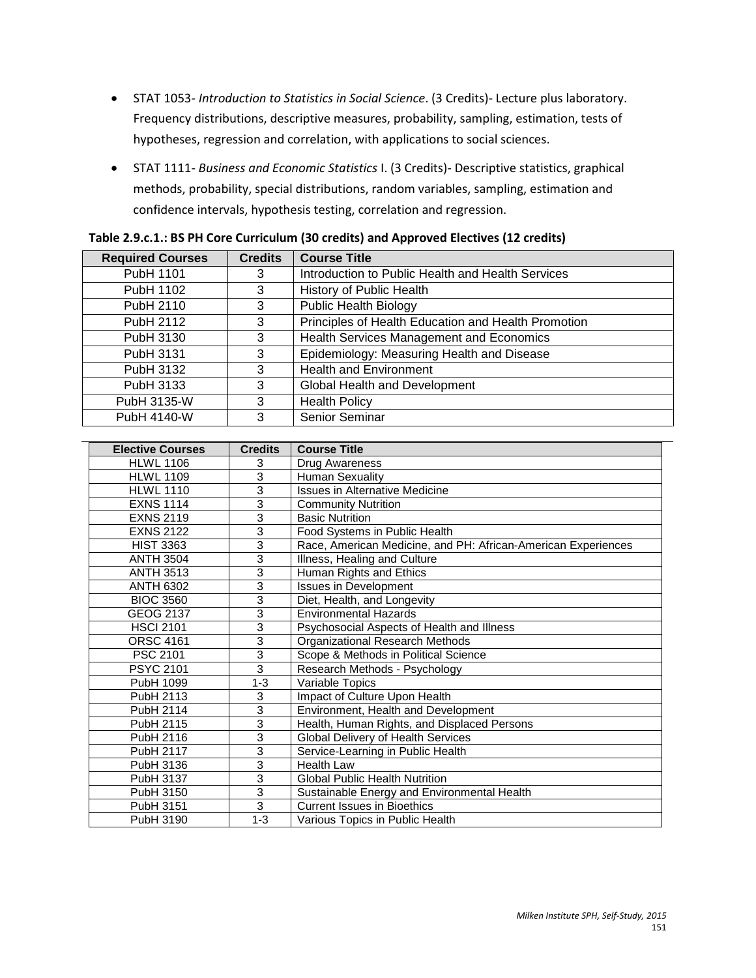- STAT 1053*- Introduction to Statistics in Social Science*. (3 Credits)- Lecture plus laboratory. Frequency distributions, descriptive measures, probability, sampling, estimation, tests of hypotheses, regression and correlation, with applications to social sciences.
- STAT 1111*- Business and Economic Statistics* I. (3 Credits)- Descriptive statistics, graphical methods, probability, special distributions, random variables, sampling, estimation and confidence intervals, hypothesis testing, correlation and regression.

| <b>Required Courses</b> | <b>Credits</b> | <b>Course Title</b>                                 |
|-------------------------|----------------|-----------------------------------------------------|
| PubH 1101               | 3              | Introduction to Public Health and Health Services   |
| PubH 1102               | 3              | History of Public Health                            |
| PubH 2110               | 3              | <b>Public Health Biology</b>                        |
| PubH 2112               | 3              | Principles of Health Education and Health Promotion |
| PubH 3130               | 3              | Health Services Management and Economics            |
| PubH 3131               | 3              | Epidemiology: Measuring Health and Disease          |
| PubH 3132               | 3              | <b>Health and Environment</b>                       |
| PubH 3133               | 3              | Global Health and Development                       |
| PubH 3135-W             | 3              | <b>Health Policy</b>                                |
| PubH 4140-W             | 3              | <b>Senior Seminar</b>                               |

| <b>Elective Courses</b> | <b>Credits</b> | <b>Course Title</b>                                           |
|-------------------------|----------------|---------------------------------------------------------------|
| <b>HLWL 1106</b>        | 3              | Drug Awareness                                                |
| <b>HLWL 1109</b>        | 3              | <b>Human Sexuality</b>                                        |
| <b>HLWL 1110</b>        | 3              | <b>Issues in Alternative Medicine</b>                         |
| <b>EXNS 1114</b>        | 3              | <b>Community Nutrition</b>                                    |
| <b>EXNS 2119</b>        | 3              | <b>Basic Nutrition</b>                                        |
| <b>EXNS 2122</b>        | 3              | Food Systems in Public Health                                 |
| <b>HIST 3363</b>        | 3              | Race, American Medicine, and PH: African-American Experiences |
| <b>ANTH 3504</b>        | 3              | Illness, Healing and Culture                                  |
| <b>ANTH 3513</b>        | 3              | Human Rights and Ethics                                       |
| <b>ANTH 6302</b>        | 3              | <b>Issues in Development</b>                                  |
| <b>BIOC 3560</b>        | 3              | Diet, Health, and Longevity                                   |
| <b>GEOG 2137</b>        | 3              | <b>Environmental Hazards</b>                                  |
| <b>HSCI 2101</b>        | 3              | Psychosocial Aspects of Health and Illness                    |
| <b>ORSC 4161</b>        | 3              | Organizational Research Methods                               |
| PSC 2101                | 3              | Scope & Methods in Political Science                          |
| <b>PSYC 2101</b>        | 3              | Research Methods - Psychology                                 |
| PubH 1099               | $1 - 3$        | Variable Topics                                               |
| PubH 2113               | 3              | Impact of Culture Upon Health                                 |
| <b>PubH 2114</b>        | 3              | Environment, Health and Development                           |
| PubH 2115               | 3              | Health, Human Rights, and Displaced Persons                   |
| PubH 2116               | 3              | Global Delivery of Health Services                            |
| <b>PubH 2117</b>        | 3              | Service-Learning in Public Health                             |
| PubH 3136               | 3              | <b>Health Law</b>                                             |
| PubH 3137               | 3              | <b>Global Public Health Nutrition</b>                         |
| PubH 3150               | 3              | Sustainable Energy and Environmental Health                   |
| PubH 3151               | 3              | <b>Current Issues in Bioethics</b>                            |
| PubH 3190               | $1 - 3$        | Various Topics in Public Health                               |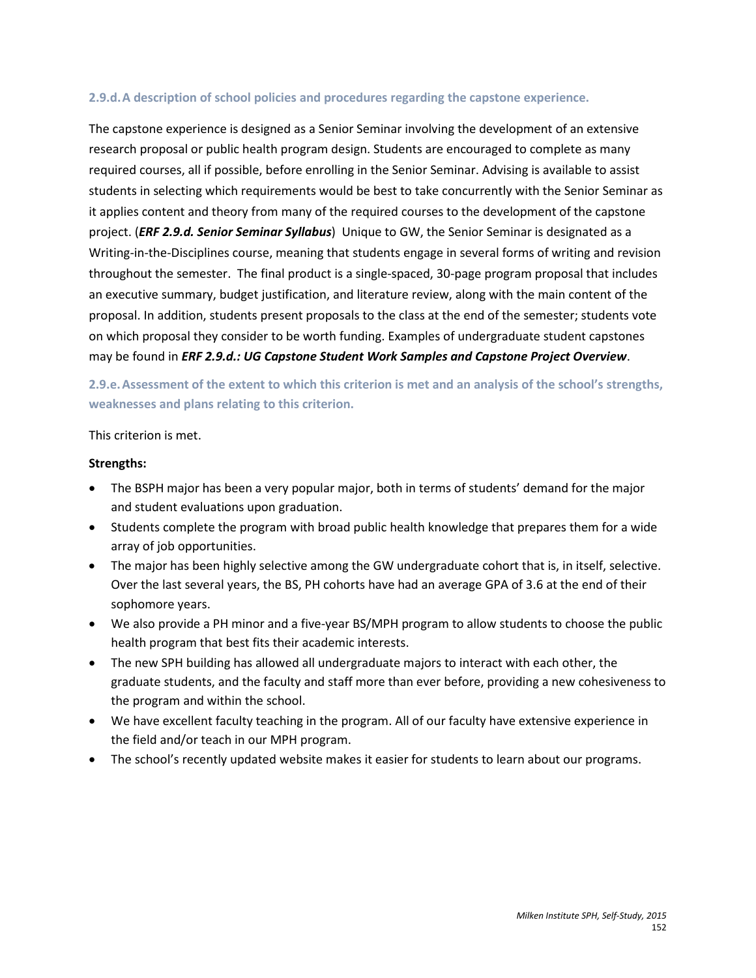#### **2.9.d.A description of school policies and procedures regarding the capstone experience.**

The capstone experience is designed as a Senior Seminar involving the development of an extensive research proposal or public health program design. Students are encouraged to complete as many required courses, all if possible, before enrolling in the Senior Seminar. Advising is available to assist students in selecting which requirements would be best to take concurrently with the Senior Seminar as it applies content and theory from many of the required courses to the development of the capstone project. (*ERF 2.9.d. Senior Seminar Syllabus*) Unique to GW, the Senior Seminar is designated as a Writing-in-the-Disciplines course, meaning that students engage in several forms of writing and revision throughout the semester. The final product is a single-spaced, 30-page program proposal that includes an executive summary, budget justification, and literature review, along with the main content of the proposal. In addition, students present proposals to the class at the end of the semester; students vote on which proposal they consider to be worth funding. Examples of undergraduate student capstones may be found in *ERF 2.9.d.: UG Capstone Student Work Samples and Capstone Project Overview*.

**2.9.e.Assessment of the extent to which this criterion is met and an analysis of the school's strengths, weaknesses and plans relating to this criterion.**

#### This criterion is met.

#### **Strengths:**

- The BSPH major has been a very popular major, both in terms of students' demand for the major and student evaluations upon graduation.
- Students complete the program with broad public health knowledge that prepares them for a wide array of job opportunities.
- The major has been highly selective among the GW undergraduate cohort that is, in itself, selective. Over the last several years, the BS, PH cohorts have had an average GPA of 3.6 at the end of their sophomore years.
- We also provide a PH minor and a five-year BS/MPH program to allow students to choose the public health program that best fits their academic interests.
- The new SPH building has allowed all undergraduate majors to interact with each other, the graduate students, and the faculty and staff more than ever before, providing a new cohesiveness to the program and within the school.
- We have excellent faculty teaching in the program. All of our faculty have extensive experience in the field and/or teach in our MPH program.
- The school's recently updated website makes it easier for students to learn about our programs.